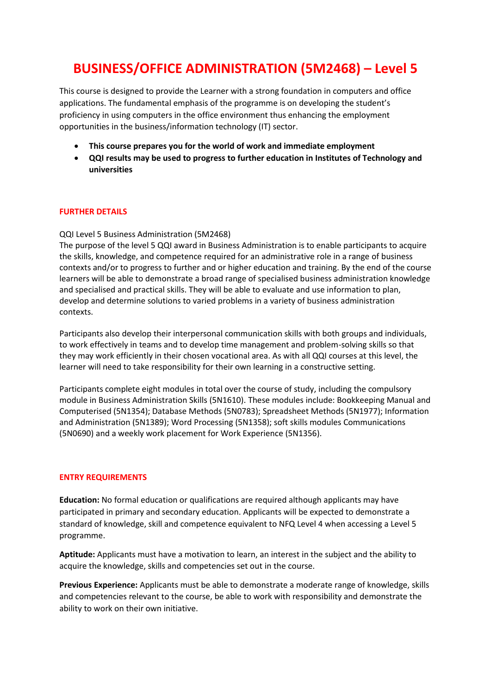# **BUSINESS/OFFICE ADMINISTRATION (5M2468) – Level 5**

This course is designed to provide the Learner with a strong foundation in computers and office applications. The fundamental emphasis of the programme is on developing the student's proficiency in using computers in the office environment thus enhancing the employment opportunities in the business/information technology (IT) sector.

- **This course prepares you for the world of work and immediate employment**
- **QQI results may be used to progress to further education in Institutes of Technology and universities**

## **FURTHER DETAILS**

## QQI Level 5 Business Administration (5M2468)

The purpose of the level 5 QQI award in Business Administration is to enable participants to acquire the skills, knowledge, and competence required for an administrative role in a range of business contexts and/or to progress to further and or higher education and training. By the end of the course learners will be able to demonstrate a broad range of specialised business administration knowledge and specialised and practical skills. They will be able to evaluate and use information to plan, develop and determine solutions to varied problems in a variety of business administration contexts.

Participants also develop their interpersonal communication skills with both groups and individuals, to work effectively in teams and to develop time management and problem-solving skills so that they may work efficiently in their chosen vocational area. As with all QQI courses at this level, the learner will need to take responsibility for their own learning in a constructive setting.

Participants complete eight modules in total over the course of study, including the compulsory module in Business Administration Skills (5N1610). These modules include: Bookkeeping Manual and Computerised (5N1354); Database Methods (5N0783); Spreadsheet Methods (5N1977); Information and Administration (5N1389); Word Processing (5N1358); soft skills modules Communications (5N0690) and a weekly work placement for Work Experience (5N1356).

#### **ENTRY REQUIREMENTS**

**Education:** No formal education or qualifications are required although applicants may have participated in primary and secondary education. Applicants will be expected to demonstrate a standard of knowledge, skill and competence equivalent to NFQ Level 4 when accessing a Level 5 programme.

**Aptitude:** Applicants must have a motivation to learn, an interest in the subject and the ability to acquire the knowledge, skills and competencies set out in the course.

**Previous Experience:** Applicants must be able to demonstrate a moderate range of knowledge, skills and competencies relevant to the course, be able to work with responsibility and demonstrate the ability to work on their own initiative.